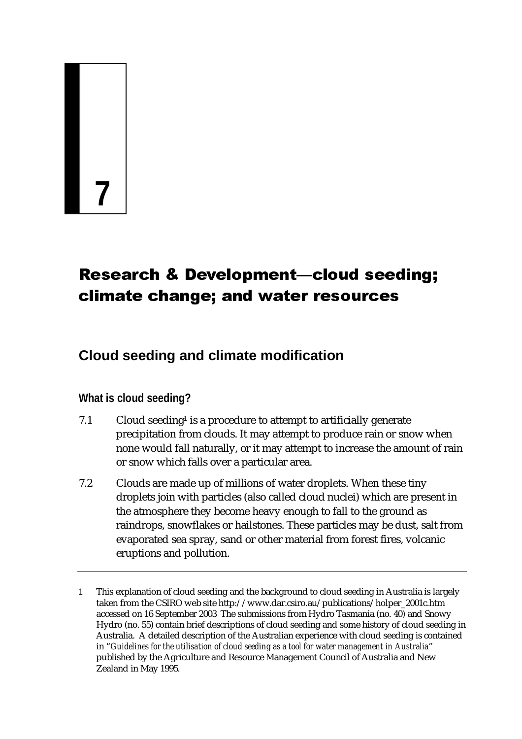# **7**

# Research & Development—cloud seeding; climate change; and water resources

# **Cloud seeding and climate modification**

# **What is cloud seeding?**

- 7.1 Cloud seeding<sup>1</sup> is a procedure to attempt to artificially generate precipitation from clouds. It may attempt to produce rain or snow when none would fall naturally, or it may attempt to increase the amount of rain or snow which falls over a particular area.
- 7.2 Clouds are made up of millions of water droplets. When these tiny droplets join with particles (also called cloud nuclei) which are present in the atmosphere they become heavy enough to fall to the ground as raindrops, snowflakes or hailstones. These particles may be dust, salt from evaporated sea spray, sand or other material from forest fires, volcanic eruptions and pollution.

<sup>1</sup> This explanation of cloud seeding and the background to cloud seeding in Australia is largely taken from the CSIRO web site http://www.dar.csiro.au/publications/holper\_2001c.htm accessed on 16 September 2003 The submissions from Hydro Tasmania (no. 40) and Snowy Hydro (no. 55) contain brief descriptions of cloud seeding and some history of cloud seeding in Australia. A detailed description of the Australian experience with cloud seeding is contained in "*Guidelines for the utilisation of cloud seeding as a tool for water management in Australia*" published by the Agriculture and Resource Management Council of Australia and New Zealand in May 1995.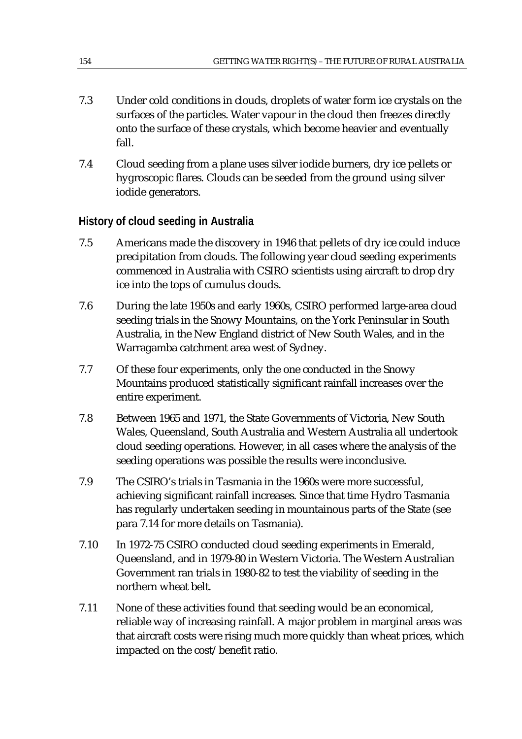- 7.3 Under cold conditions in clouds, droplets of water form ice crystals on the surfaces of the particles. Water vapour in the cloud then freezes directly onto the surface of these crystals, which become heavier and eventually fall.
- 7.4 Cloud seeding from a plane uses silver iodide burners, dry ice pellets or hygroscopic flares. Clouds can be seeded from the ground using silver iodide generators.

## **History of cloud seeding in Australia**

- 7.5 Americans made the discovery in 1946 that pellets of dry ice could induce precipitation from clouds. The following year cloud seeding experiments commenced in Australia with CSIRO scientists using aircraft to drop dry ice into the tops of cumulus clouds.
- 7.6 During the late 1950s and early 1960s, CSIRO performed large-area cloud seeding trials in the Snowy Mountains, on the York Peninsular in South Australia, in the New England district of New South Wales, and in the Warragamba catchment area west of Sydney.
- 7.7 Of these four experiments, only the one conducted in the Snowy Mountains produced statistically significant rainfall increases over the entire experiment.
- 7.8 Between 1965 and 1971, the State Governments of Victoria, New South Wales, Queensland, South Australia and Western Australia all undertook cloud seeding operations. However, in all cases where the analysis of the seeding operations was possible the results were inconclusive.
- 7.9 The CSIRO's trials in Tasmania in the 1960s were more successful, achieving significant rainfall increases. Since that time Hydro Tasmania has regularly undertaken seeding in mountainous parts of the State (see para 7.14 for more details on Tasmania).
- 7.10 In 1972-75 CSIRO conducted cloud seeding experiments in Emerald, Queensland, and in 1979-80 in Western Victoria. The Western Australian Government ran trials in 1980-82 to test the viability of seeding in the northern wheat belt.
- 7.11 None of these activities found that seeding would be an economical, reliable way of increasing rainfall. A major problem in marginal areas was that aircraft costs were rising much more quickly than wheat prices, which impacted on the cost/benefit ratio.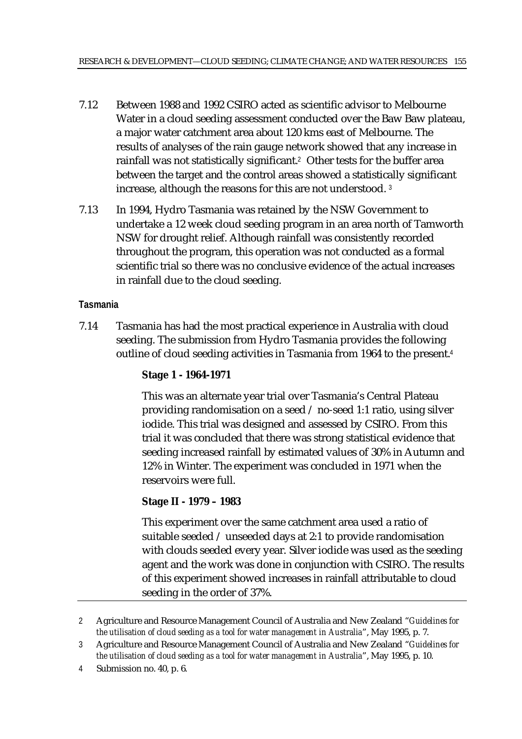- 7.12 Between 1988 and 1992 CSIRO acted as scientific advisor to Melbourne Water in a cloud seeding assessment conducted over the Baw Baw plateau, a major water catchment area about 120 kms east of Melbourne. The results of analyses of the rain gauge network showed that any increase in rainfall was not statistically significant.<sup>2</sup> Other tests for the buffer area between the target and the control areas showed a statistically significant increase, although the reasons for this are not understood. <sup>3</sup>
- 7.13 In 1994, Hydro Tasmania was retained by the NSW Government to undertake a 12 week cloud seeding program in an area north of Tamworth NSW for drought relief. Although rainfall was consistently recorded throughout the program, this operation was not conducted as a formal scientific trial so there was no conclusive evidence of the actual increases in rainfall due to the cloud seeding.

## **Tasmania**

7.14 Tasmania has had the most practical experience in Australia with cloud seeding. The submission from Hydro Tasmania provides the following outline of cloud seeding activities in Tasmania from 1964 to the present.<sup>4</sup>

## **Stage 1 - 1964-1971**

This was an alternate year trial over Tasmania's Central Plateau providing randomisation on a seed / no-seed 1:1 ratio, using silver iodide. This trial was designed and assessed by CSIRO. From this trial it was concluded that there was strong statistical evidence that seeding increased rainfall by estimated values of 30% in Autumn and 12% in Winter. The experiment was concluded in 1971 when the reservoirs were full.

## **Stage II - 1979 – 1983**

This experiment over the same catchment area used a ratio of suitable seeded / unseeded days at 2:1 to provide randomisation with clouds seeded every year. Silver iodide was used as the seeding agent and the work was done in conjunction with CSIRO. The results of this experiment showed increases in rainfall attributable to cloud seeding in the order of 37%.

4 Submission no. 40, p. 6.

<sup>2</sup> Agriculture and Resource Management Council of Australia and New Zealand "*Guidelines for the utilisation of cloud seeding as a tool for water management in Australia*", May 1995, p. 7.

<sup>3</sup> Agriculture and Resource Management Council of Australia and New Zealand "*Guidelines for the utilisation of cloud seeding as a tool for water management in Australia*", May 1995, p. 10.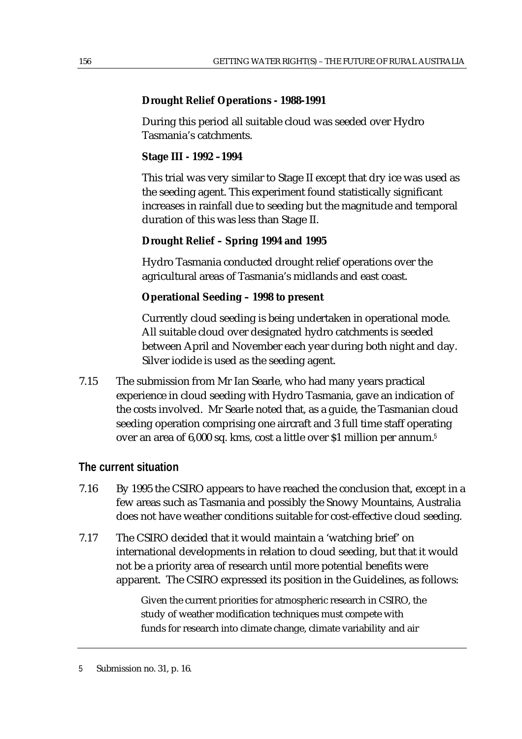#### **Drought Relief Operations - 1988-1991**

During this period all suitable cloud was seeded over Hydro Tasmania's catchments.

#### **Stage III - 1992 –1994**

This trial was very similar to Stage II except that dry ice was used as the seeding agent. This experiment found statistically significant increases in rainfall due to seeding but the magnitude and temporal duration of this was less than Stage II.

#### **Drought Relief – Spring 1994 and 1995**

Hydro Tasmania conducted drought relief operations over the agricultural areas of Tasmania's midlands and east coast.

#### **Operational Seeding – 1998 to present**

Currently cloud seeding is being undertaken in operational mode. All suitable cloud over designated hydro catchments is seeded between April and November each year during both night and day. Silver iodide is used as the seeding agent.

7.15 The submission from Mr Ian Searle, who had many years practical experience in cloud seeding with Hydro Tasmania, gave an indication of the costs involved. Mr Searle noted that, as a guide, the Tasmanian cloud seeding operation comprising one aircraft and 3 full time staff operating over an area of 6,000 sq. kms, cost a little over \$1 million per annum.<sup>5</sup>

## **The current situation**

- 7.16 By 1995 the CSIRO appears to have reached the conclusion that, except in a few areas such as Tasmania and possibly the Snowy Mountains, Australia does not have weather conditions suitable for cost-effective cloud seeding.
- 7.17 The CSIRO decided that it would maintain a 'watching brief' on international developments in relation to cloud seeding, but that it would not be a priority area of research until more potential benefits were apparent. The CSIRO expressed its position in the Guidelines, as follows:

Given the current priorities for atmospheric research in CSIRO, the study of weather modification techniques must compete with funds for research into climate change, climate variability and air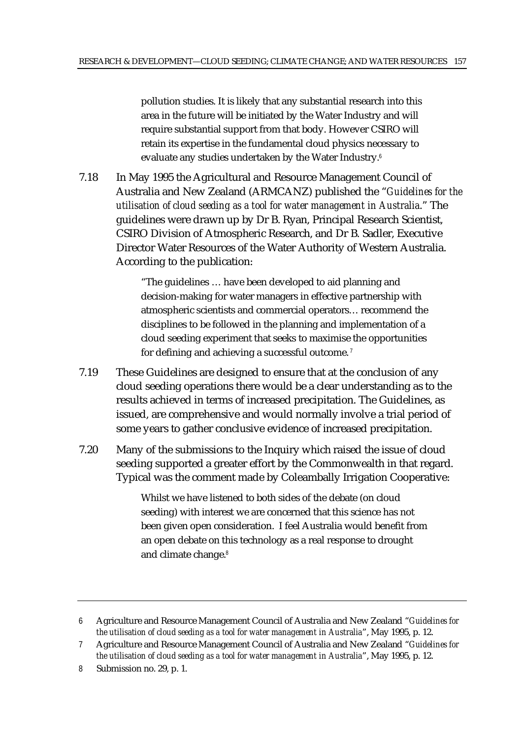pollution studies. It is likely that any substantial research into this area in the future will be initiated by the Water Industry and will require substantial support from that body. However CSIRO will retain its expertise in the fundamental cloud physics necessary to evaluate any studies undertaken by the Water Industry.<sup>6</sup>

7.18 In May 1995 the Agricultural and Resource Management Council of Australia and New Zealand (ARMCANZ) published the "*Guidelines for the utilisation of cloud seeding as a tool for water management in Australia*." The guidelines were drawn up by Dr B. Ryan, Principal Research Scientist, CSIRO Division of Atmospheric Research, and Dr B. Sadler, Executive Director Water Resources of the Water Authority of Western Australia. According to the publication:

> "The guidelines … have been developed to aid planning and decision-making for water managers in effective partnership with atmospheric scientists and commercial operators… recommend the disciplines to be followed in the planning and implementation of a cloud seeding experiment that seeks to maximise the opportunities for defining and achieving a successful outcome.<sup>7</sup>

- 7.19 These Guidelines are designed to ensure that at the conclusion of any cloud seeding operations there would be a clear understanding as to the results achieved in terms of increased precipitation. The Guidelines, as issued, are comprehensive and would normally involve a trial period of some years to gather conclusive evidence of increased precipitation.
- 7.20 Many of the submissions to the Inquiry which raised the issue of cloud seeding supported a greater effort by the Commonwealth in that regard. Typical was the comment made by Coleambally Irrigation Cooperative:

Whilst we have listened to both sides of the debate (on cloud seeding) with interest we are concerned that this science has not been given open consideration. I feel Australia would benefit from an open debate on this technology as a real response to drought and climate change.<sup>8</sup>

<sup>6</sup> Agriculture and Resource Management Council of Australia and New Zealand "*Guidelines for the utilisation of cloud seeding as a tool for water management in Australia*", May 1995, p. 12.

<sup>7</sup> Agriculture and Resource Management Council of Australia and New Zealand "*Guidelines for the utilisation of cloud seeding as a tool for water management in Australia*", May 1995, p. 12.

<sup>8</sup> Submission no. 29, p. 1.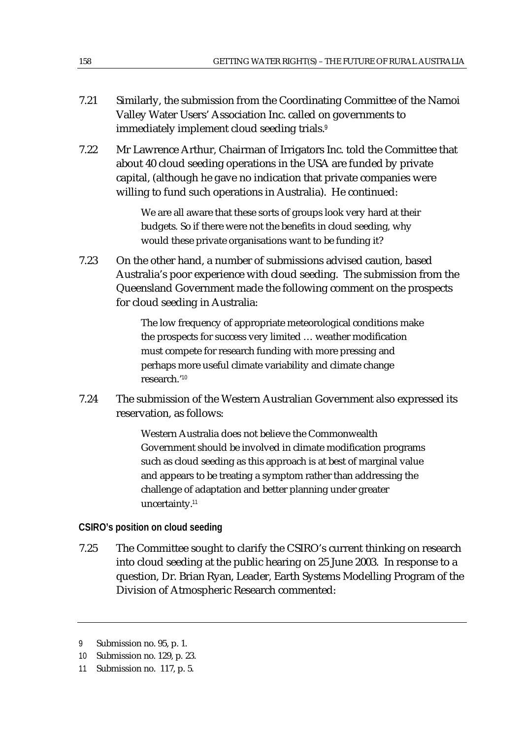- 7.21 Similarly, the submission from the Coordinating Committee of the Namoi Valley Water Users' Association Inc. called on governments to immediately implement cloud seeding trials.<sup>9</sup>
- 7.22 Mr Lawrence Arthur, Chairman of Irrigators Inc. told the Committee that about 40 cloud seeding operations in the USA are funded by private capital, (although he gave no indication that private companies were willing to fund such operations in Australia). He continued:

We are all aware that these sorts of groups look very hard at their budgets. So if there were not the benefits in cloud seeding, why would these private organisations want to be funding it?

7.23 On the other hand, a number of submissions advised caution, based Australia's poor experience with cloud seeding. The submission from the Queensland Government made the following comment on the prospects for cloud seeding in Australia:

> The low frequency of appropriate meteorological conditions make the prospects for success very limited … weather modification must compete for research funding with more pressing and perhaps more useful climate variability and climate change research.'<sup>10</sup>

7.24 The submission of the Western Australian Government also expressed its reservation, as follows:

> Western Australia does not believe the Commonwealth Government should be involved in climate modification programs such as cloud seeding as this approach is at best of marginal value and appears to be treating a symptom rather than addressing the challenge of adaptation and better planning under greater uncertainty.<sup>11</sup>

#### **CSIRO's position on cloud seeding**

7.25 The Committee sought to clarify the CSIRO's current thinking on research into cloud seeding at the public hearing on 25 June 2003. In response to a question, Dr. Brian Ryan, Leader, Earth Systems Modelling Program of the Division of Atmospheric Research commented:

<sup>9</sup> Submission no. 95, p. 1.

<sup>10</sup> Submission no. 129, p. 23.

<sup>11</sup> Submission no. 117, p. 5.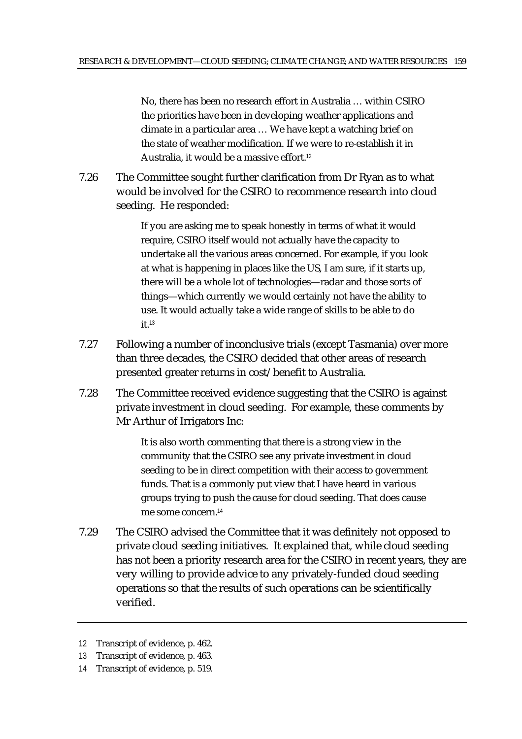No, there has been no research effort in Australia … within CSIRO the priorities have been in developing weather applications and climate in a particular area … We have kept a watching brief on the state of weather modification. If we were to re-establish it in Australia, it would be a massive effort.<sup>12</sup>

7.26 The Committee sought further clarification from Dr Ryan as to what would be involved for the CSIRO to recommence research into cloud seeding. He responded:

> If you are asking me to speak honestly in terms of what it would require, CSIRO itself would not actually have the capacity to undertake all the various areas concerned. For example, if you look at what is happening in places like the US, I am sure, if it starts up, there will be a whole lot of technologies—radar and those sorts of things—which currently we would certainly not have the ability to use. It would actually take a wide range of skills to be able to do  $it<sup>13</sup>$

- 7.27 Following a number of inconclusive trials (except Tasmania) over more than three decades, the CSIRO decided that other areas of research presented greater returns in cost/benefit to Australia.
- 7.28 The Committee received evidence suggesting that the CSIRO is against private investment in cloud seeding. For example, these comments by Mr Arthur of Irrigators Inc:

It is also worth commenting that there is a strong view in the community that the CSIRO see any private investment in cloud seeding to be in direct competition with their access to government funds. That is a commonly put view that I have heard in various groups trying to push the cause for cloud seeding. That does cause me some concern.<sup>14</sup>

7.29 The CSIRO advised the Committee that it was definitely not opposed to private cloud seeding initiatives. It explained that, while cloud seeding has not been a priority research area for the CSIRO in recent years, they are very willing to provide advice to any privately-funded cloud seeding operations so that the results of such operations can be scientifically verified.

<sup>12</sup> Transcript of evidence, p. 462.

<sup>13</sup> Transcript of evidence, p. 463.

<sup>14</sup> Transcript of evidence, p. 519.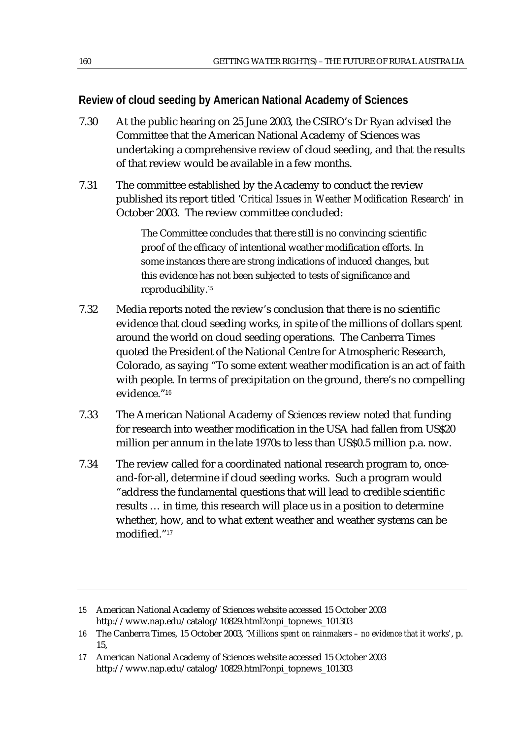## **Review of cloud seeding by American National Academy of Sciences**

- 7.30 At the public hearing on 25 June 2003, the CSIRO's Dr Ryan advised the Committee that the American National Academy of Sciences was undertaking a comprehensive review of cloud seeding, and that the results of that review would be available in a few months.
- 7.31 The committee established by the Academy to conduct the review published its report titled '*Critical Issues in Weather Modification Research'* in October 2003. The review committee concluded:

The Committee concludes that there still is no convincing scientific proof of the efficacy of intentional weather modification efforts. In some instances there are strong indications of induced changes, but this evidence has not been subjected to tests of significance and reproducibility.<sup>15</sup>

- 7.32 Media reports noted the review's conclusion that there is no scientific evidence that cloud seeding works, in spite of the millions of dollars spent around the world on cloud seeding operations. The Canberra Times quoted the President of the National Centre for Atmospheric Research, Colorado, as saying "To some extent weather modification is an act of faith with people. In terms of precipitation on the ground, there's no compelling evidence."<sup>16</sup>
- 7.33 The American National Academy of Sciences review noted that funding for research into weather modification in the USA had fallen from US\$20 million per annum in the late 1970s to less than US\$0.5 million p.a. now.
- 7.34 The review called for a coordinated national research program to, onceand-for-all, determine if cloud seeding works. Such a program would "address the fundamental questions that will lead to credible scientific results … in time, this research will place us in a position to determine whether, how, and to what extent weather and weather systems can be modified."<sup>17</sup>

<sup>15</sup> American National Academy of Sciences website accessed 15 October 2003 http://www.nap.edu/catalog/10829.html?onpi\_topnews\_101303

<sup>16</sup> The Canberra Times, 15 October 2003, '*Millions spent on rainmakers – no evidence that it works'*, p. 15,

<sup>17</sup> American National Academy of Sciences website accessed 15 October 2003 http://www.nap.edu/catalog/10829.html?onpi\_topnews\_101303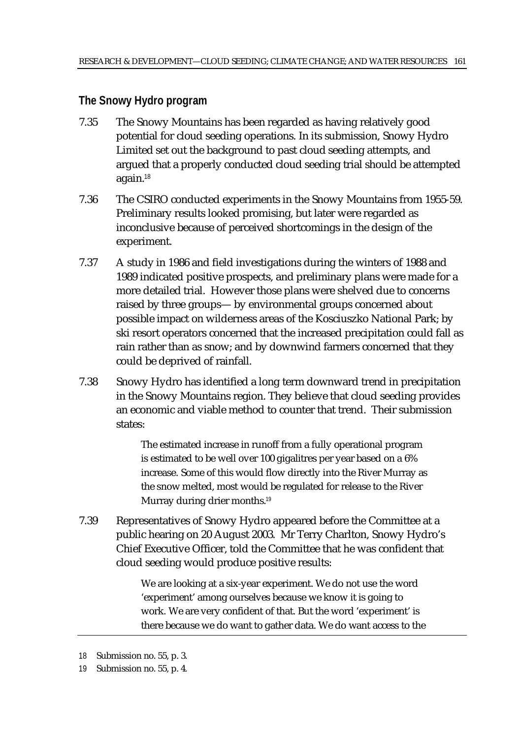## **The Snowy Hydro program**

- 7.35 The Snowy Mountains has been regarded as having relatively good potential for cloud seeding operations. In its submission, Snowy Hydro Limited set out the background to past cloud seeding attempts, and argued that a properly conducted cloud seeding trial should be attempted again.<sup>18</sup>
- 7.36 The CSIRO conducted experiments in the Snowy Mountains from 1955-59. Preliminary results looked promising, but later were regarded as inconclusive because of perceived shortcomings in the design of the experiment.
- 7.37 A study in 1986 and field investigations during the winters of 1988 and 1989 indicated positive prospects, and preliminary plans were made for a more detailed trial. However those plans were shelved due to concerns raised by three groups— by environmental groups concerned about possible impact on wilderness areas of the Kosciuszko National Park; by ski resort operators concerned that the increased precipitation could fall as rain rather than as snow; and by downwind farmers concerned that they could be deprived of rainfall.
- 7.38 Snowy Hydro has identified a long term downward trend in precipitation in the Snowy Mountains region. They believe that cloud seeding provides an economic and viable method to counter that trend. Their submission states:

The estimated increase in runoff from a fully operational program is estimated to be well over 100 gigalitres per year based on a 6% increase. Some of this would flow directly into the River Murray as the snow melted, most would be regulated for release to the River Murray during drier months.<sup>19</sup>

7.39 Representatives of Snowy Hydro appeared before the Committee at a public hearing on 20 August 2003. Mr Terry Charlton, Snowy Hydro's Chief Executive Officer, told the Committee that he was confident that cloud seeding would produce positive results:

> We are looking at a six-year experiment. We do not use the word 'experiment' among ourselves because we know it is going to work. We are very confident of that. But the word 'experiment' is there because we do want to gather data. We do want access to the

<sup>18</sup> Submission no. 55, p. 3.

<sup>19</sup> Submission no. 55, p. 4.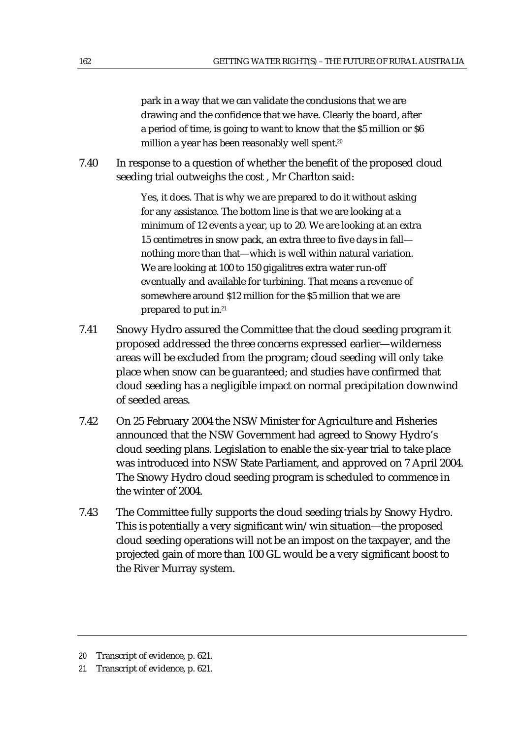park in a way that we can validate the conclusions that we are drawing and the confidence that we have. Clearly the board, after a period of time, is going to want to know that the \$5 million or \$6 million a year has been reasonably well spent.<sup>20</sup>

7.40 In response to a question of whether the benefit of the proposed cloud seeding trial outweighs the cost , Mr Charlton said:

> Yes, it does. That is why we are prepared to do it without asking for any assistance. The bottom line is that we are looking at a minimum of 12 events a year, up to 20. We are looking at an extra 15 centimetres in snow pack, an extra three to five days in fall nothing more than that—which is well within natural variation. We are looking at 100 to 150 gigalitres extra water run-off eventually and available for turbining. That means a revenue of somewhere around \$12 million for the \$5 million that we are prepared to put in.<sup>21</sup>

- 7.41 Snowy Hydro assured the Committee that the cloud seeding program it proposed addressed the three concerns expressed earlier—wilderness areas will be excluded from the program; cloud seeding will only take place when snow can be guaranteed; and studies have confirmed that cloud seeding has a negligible impact on normal precipitation downwind of seeded areas.
- 7.42 On 25 February 2004 the NSW Minister for Agriculture and Fisheries announced that the NSW Government had agreed to Snowy Hydro's cloud seeding plans. Legislation to enable the six-year trial to take place was introduced into NSW State Parliament, and approved on 7 April 2004. The Snowy Hydro cloud seeding program is scheduled to commence in the winter of 2004.
- 7.43 The Committee fully supports the cloud seeding trials by Snowy Hydro. This is potentially a very significant win/win situation—the proposed cloud seeding operations will not be an impost on the taxpayer, and the projected gain of more than 100 GL would be a very significant boost to the River Murray system.

<sup>20</sup> Transcript of evidence, p. 621.

<sup>21</sup> Transcript of evidence, p. 621.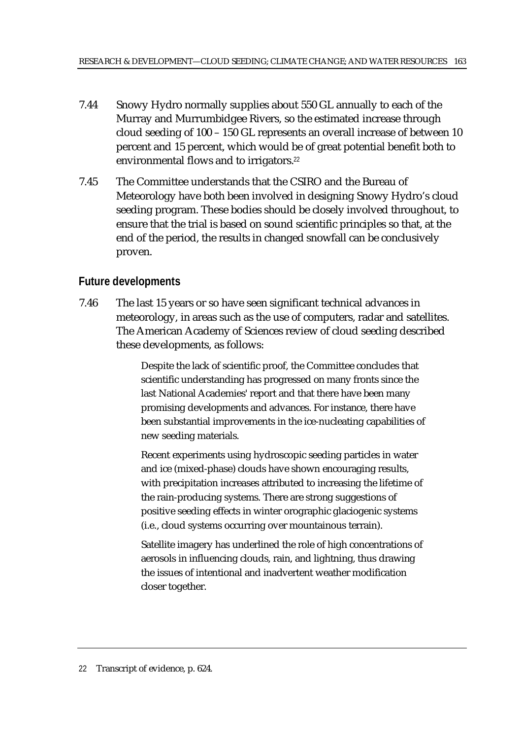- 7.44 Snowy Hydro normally supplies about 550 GL annually to each of the Murray and Murrumbidgee Rivers, so the estimated increase through cloud seeding of 100 – 150 GL represents an overall increase of between 10 percent and 15 percent, which would be of great potential benefit both to environmental flows and to irrigators.<sup>22</sup>
- 7.45 The Committee understands that the CSIRO and the Bureau of Meteorology have both been involved in designing Snowy Hydro's cloud seeding program. These bodies should be closely involved throughout, to ensure that the trial is based on sound scientific principles so that, at the end of the period, the results in changed snowfall can be conclusively proven.

## **Future developments**

7.46 The last 15 years or so have seen significant technical advances in meteorology, in areas such as the use of computers, radar and satellites. The American Academy of Sciences review of cloud seeding described these developments, as follows:

> Despite the lack of scientific proof, the Committee concludes that scientific understanding has progressed on many fronts since the last National Academies' report and that there have been many promising developments and advances. For instance, there have been substantial improvements in the ice-nucleating capabilities of new seeding materials.

Recent experiments using hydroscopic seeding particles in water and ice (mixed-phase) clouds have shown encouraging results, with precipitation increases attributed to increasing the lifetime of the rain-producing systems. There are strong suggestions of positive seeding effects in winter orographic glaciogenic systems (i.e., cloud systems occurring over mountainous terrain).

Satellite imagery has underlined the role of high concentrations of aerosols in influencing clouds, rain, and lightning, thus drawing the issues of intentional and inadvertent weather modification closer together.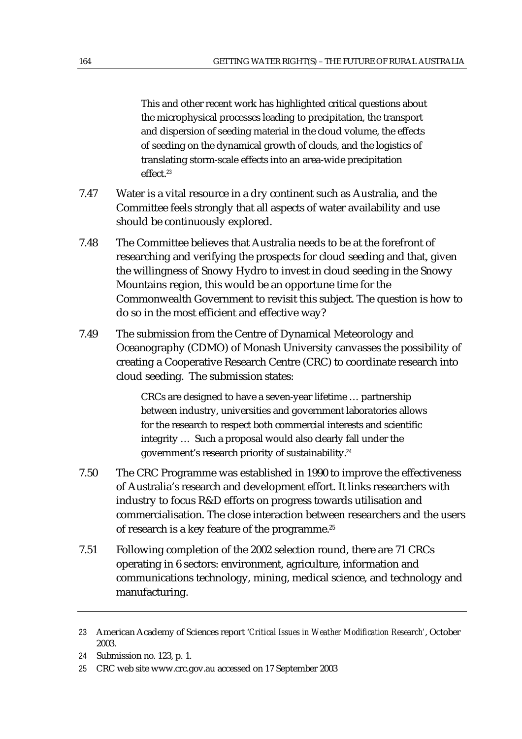This and other recent work has highlighted critical questions about the microphysical processes leading to precipitation, the transport and dispersion of seeding material in the cloud volume, the effects of seeding on the dynamical growth of clouds, and the logistics of translating storm-scale effects into an area-wide precipitation effect.<sup>23</sup>

- 7.47 Water is a vital resource in a dry continent such as Australia, and the Committee feels strongly that all aspects of water availability and use should be continuously explored.
- 7.48 The Committee believes that Australia needs to be at the forefront of researching and verifying the prospects for cloud seeding and that, given the willingness of Snowy Hydro to invest in cloud seeding in the Snowy Mountains region, this would be an opportune time for the Commonwealth Government to revisit this subject. The question is how to do so in the most efficient and effective way?
- 7.49 The submission from the Centre of Dynamical Meteorology and Oceanography (CDMO) of Monash University canvasses the possibility of creating a Cooperative Research Centre (CRC) to coordinate research into cloud seeding. The submission states:

CRCs are designed to have a seven-year lifetime … partnership between industry, universities and government laboratories allows for the research to respect both commercial interests and scientific integrity … Such a proposal would also clearly fall under the government's research priority of sustainability.<sup>24</sup>

- 7.50 The CRC Programme was established in 1990 to improve the effectiveness of Australia's research and development effort. It links researchers with industry to focus R&D efforts on progress towards utilisation and commercialisation. The close interaction between researchers and the users of research is a key feature of the programme.<sup>25</sup>
- 7.51 Following completion of the 2002 selection round, there are 71 CRCs operating in 6 sectors: environment, agriculture, information and communications technology, mining, medical science, and technology and manufacturing.

<sup>23</sup> American Academy of Sciences report '*Critical Issues in Weather Modification Research'*, October 2003.

<sup>24</sup> Submission no. 123, p. 1.

<sup>25</sup> CRC web site www.crc.gov.au accessed on 17 September 2003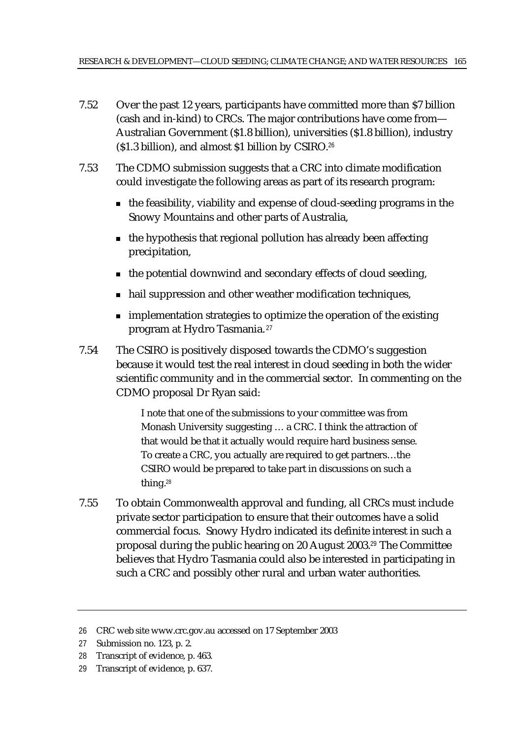- 7.52 Over the past 12 years, participants have committed more than \$7 billion (cash and in-kind) to CRCs. The major contributions have come from— Australian Government (\$1.8 billion), universities (\$1.8 billion), industry (\$1.3 billion), and almost \$1 billion by CSIRO.<sup>26</sup>
- 7.53 The CDMO submission suggests that a CRC into climate modification could investigate the following areas as part of its research program:
	- $\blacksquare$  the feasibility, viability and expense of cloud-seeding programs in the Snowy Mountains and other parts of Australia,
	- $\blacksquare$  the hypothesis that regional pollution has already been affecting precipitation,
	- $\blacksquare$  the potential downwind and secondary effects of cloud seeding,
	- hail suppression and other weather modification techniques,
	- **n** implementation strategies to optimize the operation of the existing program at Hydro Tasmania.<sup>27</sup>
- 7.54 The CSIRO is positively disposed towards the CDMO's suggestion because it would test the real interest in cloud seeding in both the wider scientific community and in the commercial sector. In commenting on the CDMO proposal Dr Ryan said:

I note that one of the submissions to your committee was from Monash University suggesting … a CRC. I think the attraction of that would be that it actually would require hard business sense. To create a CRC, you actually are required to get partners…the CSIRO would be prepared to take part in discussions on such a thing.<sup>28</sup>

7.55 To obtain Commonwealth approval and funding, all CRCs must include private sector participation to ensure that their outcomes have a solid commercial focus. Snowy Hydro indicated its definite interest in such a proposal during the public hearing on 20 August 2003.<sup>29</sup> The Committee believes that Hydro Tasmania could also be interested in participating in such a CRC and possibly other rural and urban water authorities.

<sup>26</sup> CRC web site www.crc.gov.au accessed on 17 September 2003

<sup>27</sup> Submission no. 123, p. 2.

<sup>28</sup> Transcript of evidence, p. 463.

<sup>29</sup> Transcript of evidence, p. 637.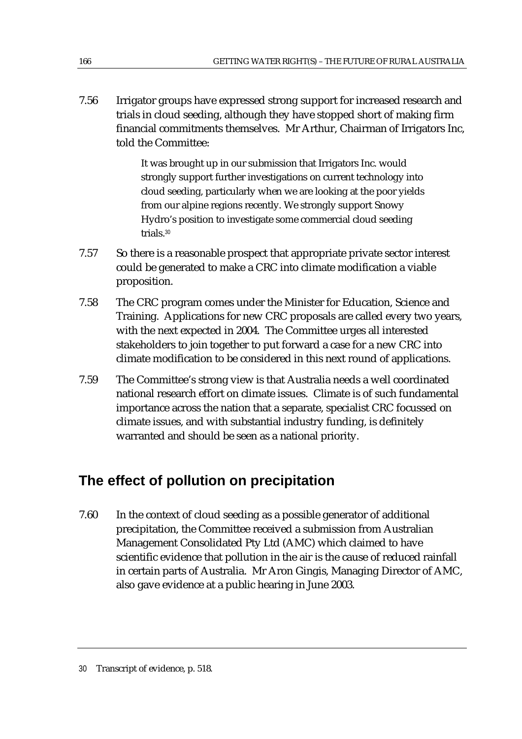7.56 Irrigator groups have expressed strong support for increased research and trials in cloud seeding, although they have stopped short of making firm financial commitments themselves. Mr Arthur, Chairman of Irrigators Inc, told the Committee:

> It was brought up in our submission that Irrigators Inc. would strongly support further investigations on current technology into cloud seeding, particularly when we are looking at the poor yields from our alpine regions recently. We strongly support Snowy Hydro's position to investigate some commercial cloud seeding trials.<sup>30</sup>

- 7.57 So there is a reasonable prospect that appropriate private sector interest could be generated to make a CRC into climate modification a viable proposition.
- 7.58 The CRC program comes under the Minister for Education, Science and Training. Applications for new CRC proposals are called every two years, with the next expected in 2004. The Committee urges all interested stakeholders to join together to put forward a case for a new CRC into climate modification to be considered in this next round of applications.
- 7.59 The Committee's strong view is that Australia needs a well coordinated national research effort on climate issues. Climate is of such fundamental importance across the nation that a separate, specialist CRC focussed on climate issues, and with substantial industry funding, is definitely warranted and should be seen as a national priority.

# **The effect of pollution on precipitation**

7.60 In the context of cloud seeding as a possible generator of additional precipitation, the Committee received a submission from Australian Management Consolidated Pty Ltd (AMC) which claimed to have scientific evidence that pollution in the air is the cause of reduced rainfall in certain parts of Australia. Mr Aron Gingis, Managing Director of AMC, also gave evidence at a public hearing in June 2003.

<sup>30</sup> Transcript of evidence, p. 518.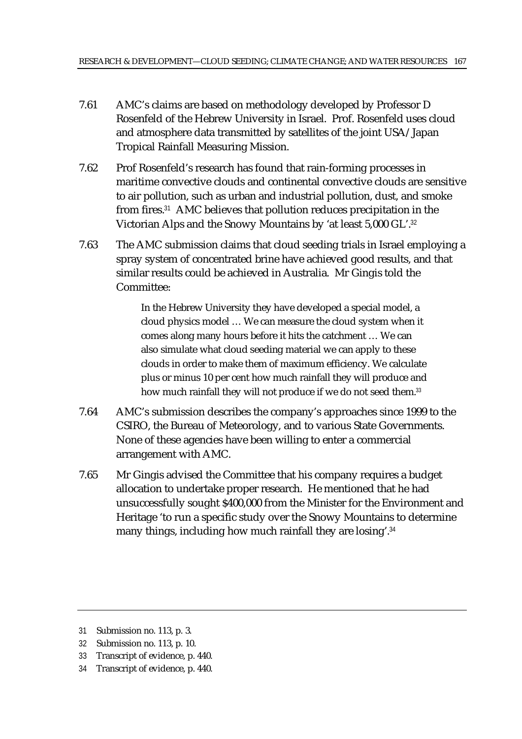- 7.61 AMC's claims are based on methodology developed by Professor D Rosenfeld of the Hebrew University in Israel. Prof. Rosenfeld uses cloud and atmosphere data transmitted by satellites of the joint USA/Japan Tropical Rainfall Measuring Mission.
- 7.62 Prof Rosenfeld's research has found that rain-forming processes in maritime convective clouds and continental convective clouds are sensitive to air pollution, such as urban and industrial pollution, dust, and smoke from fires.<sup>31</sup> AMC believes that pollution reduces precipitation in the Victorian Alps and the Snowy Mountains by 'at least 5,000 GL'.<sup>32</sup>
- 7.63 The AMC submission claims that cloud seeding trials in Israel employing a spray system of concentrated brine have achieved good results, and that similar results could be achieved in Australia. Mr Gingis told the Committee:

In the Hebrew University they have developed a special model, a cloud physics model … We can measure the cloud system when it comes along many hours before it hits the catchment … We can also simulate what cloud seeding material we can apply to these clouds in order to make them of maximum efficiency. We calculate plus or minus 10 per cent how much rainfall they will produce and how much rainfall they will not produce if we do not seed them.<sup>33</sup>

- 7.64 AMC's submission describes the company's approaches since 1999 to the CSIRO, the Bureau of Meteorology, and to various State Governments. None of these agencies have been willing to enter a commercial arrangement with AMC.
- 7.65 Mr Gingis advised the Committee that his company requires a budget allocation to undertake proper research. He mentioned that he had unsuccessfully sought \$400,000 from the Minister for the Environment and Heritage 'to run a specific study over the Snowy Mountains to determine many things, including how much rainfall they are losing'.<sup>34</sup>

<sup>31</sup> Submission no. 113, p. 3.

<sup>32</sup> Submission no. 113, p. 10.

<sup>33</sup> Transcript of evidence, p. 440.

<sup>34</sup> Transcript of evidence, p. 440.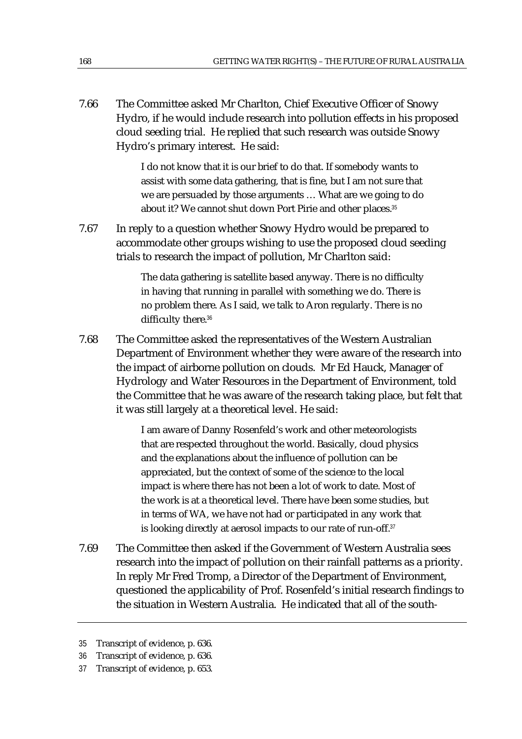7.66 The Committee asked Mr Charlton, Chief Executive Officer of Snowy Hydro, if he would include research into pollution effects in his proposed cloud seeding trial. He replied that such research was outside Snowy Hydro's primary interest. He said:

> I do not know that it is our brief to do that. If somebody wants to assist with some data gathering, that is fine, but I am not sure that we are persuaded by those arguments … What are we going to do about it? We cannot shut down Port Pirie and other places.<sup>35</sup>

7.67 In reply to a question whether Snowy Hydro would be prepared to accommodate other groups wishing to use the proposed cloud seeding trials to research the impact of pollution, Mr Charlton said:

> The data gathering is satellite based anyway. There is no difficulty in having that running in parallel with something we do. There is no problem there. As I said, we talk to Aron regularly. There is no difficulty there.<sup>36</sup>

7.68 The Committee asked the representatives of the Western Australian Department of Environment whether they were aware of the research into the impact of airborne pollution on clouds. Mr Ed Hauck, Manager of Hydrology and Water Resources in the Department of Environment, told the Committee that he was aware of the research taking place, but felt that it was still largely at a theoretical level. He said:

> I am aware of Danny Rosenfeld's work and other meteorologists that are respected throughout the world. Basically, cloud physics and the explanations about the influence of pollution can be appreciated, but the context of some of the science to the local impact is where there has not been a lot of work to date. Most of the work is at a theoretical level. There have been some studies, but in terms of WA, we have not had or participated in any work that is looking directly at aerosol impacts to our rate of run-off.<sup>37</sup>

7.69 The Committee then asked if the Government of Western Australia sees research into the impact of pollution on their rainfall patterns as a priority. In reply Mr Fred Tromp, a Director of the Department of Environment, questioned the applicability of Prof. Rosenfeld's initial research findings to the situation in Western Australia. He indicated that all of the south-

<sup>35</sup> Transcript of evidence, p. 636.

<sup>36</sup> Transcript of evidence, p. 636.

<sup>37</sup> Transcript of evidence, p. 653.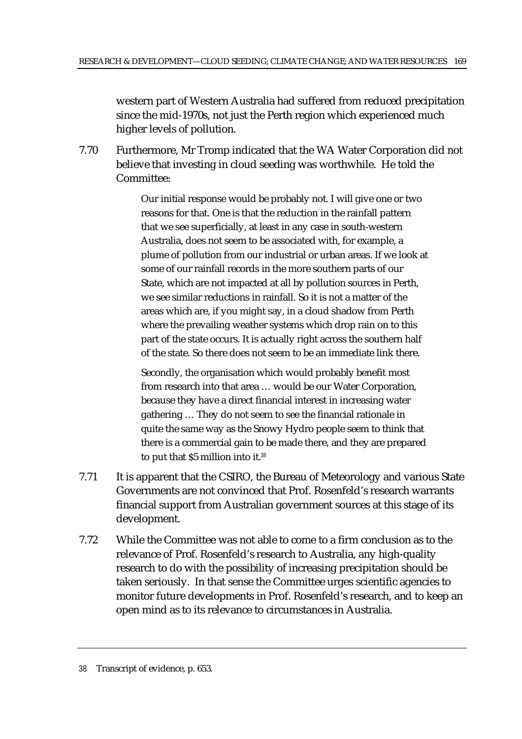western part of Western Australia had suffered from reduced precipitation since the mid-1970s, not just the Perth region which experienced much higher levels of pollution.

7.70 Furthermore, Mr Tromp indicated that the WA Water Corporation did not believe that investing in cloud seeding was worthwhile. He told the Committee:

> Our initial response would be probably not. I will give one or two reasons for that. One is that the reduction in the rainfall pattern that we see superficially, at least in any case in south-western Australia, does not seem to be associated with, for example, a plume of pollution from our industrial or urban areas. If we look at some of our rainfall records in the more southern parts of our State, which are not impacted at all by pollution sources in Perth, we see similar reductions in rainfall. So it is not a matter of the areas which are, if you might say, in a cloud shadow from Perth where the prevailing weather systems which drop rain on to this part of the state occurs. It is actually right across the southern half of the state. So there does not seem to be an immediate link there.

Secondly, the organisation which would probably benefit most from research into that area … would be our Water Corporation, because they have a direct financial interest in increasing water gathering … They do not seem to see the financial rationale in quite the same way as the Snowy Hydro people seem to think that there is a commercial gain to be made there, and they are prepared to put that \$5 million into it.<sup>38</sup>

- 7.71 It is apparent that the CSIRO, the Bureau of Meteorology and various State Governments are not convinced that Prof. Rosenfeld's research warrants financial support from Australian government sources at this stage of its development.
- 7.72 While the Committee was not able to come to a firm conclusion as to the relevance of Prof. Rosenfeld's research to Australia, any high-quality research to do with the possibility of increasing precipitation should be taken seriously. In that sense the Committee urges scientific agencies to monitor future developments in Prof. Rosenfeld's research, and to keep an open mind as to its relevance to circumstances in Australia.

<sup>38</sup> Transcript of evidence, p. 653.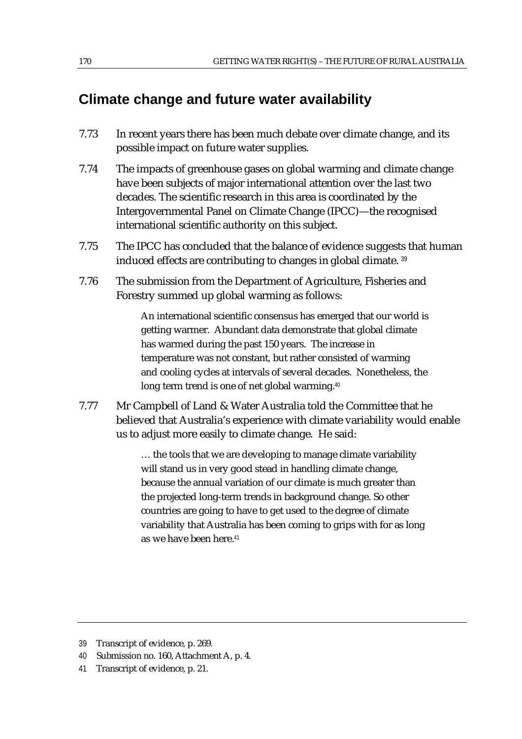# **Climate change and future water availability**

- 7.73 In recent years there has been much debate over climate change, and its possible impact on future water supplies.
- 7.74 The impacts of greenhouse gases on global warming and climate change have been subjects of major international attention over the last two decades. The scientific research in this area is coordinated by the Intergovernmental Panel on Climate Change (IPCC)—the recognised international scientific authority on this subject.
- 7.75 The IPCC has concluded that the balance of evidence suggests that human induced effects are contributing to changes in global climate. <sup>39</sup>
- 7.76 The submission from the Department of Agriculture, Fisheries and Forestry summed up global warming as follows:

An international scientific consensus has emerged that our world is getting warmer. Abundant data demonstrate that global climate has warmed during the past 150 years. The increase in temperature was not constant, but rather consisted of warming and cooling cycles at intervals of several decades. Nonetheless, the long term trend is one of net global warming.<sup>40</sup>

7.77 Mr Campbell of Land & Water Australia told the Committee that he believed that Australia's experience with climate variability would enable us to adjust more easily to climate change. He said:

> … the tools that we are developing to manage climate variability will stand us in very good stead in handling climate change, because the annual variation of our climate is much greater than the projected long-term trends in background change. So other countries are going to have to get used to the degree of climate variability that Australia has been coming to grips with for as long as we have been here.<sup>41</sup>

41 Transcript of evidence, p. 21.

<sup>39</sup> Transcript of evidence, p. 269.

<sup>40</sup> Submission no. 160, Attachment A, p. 4.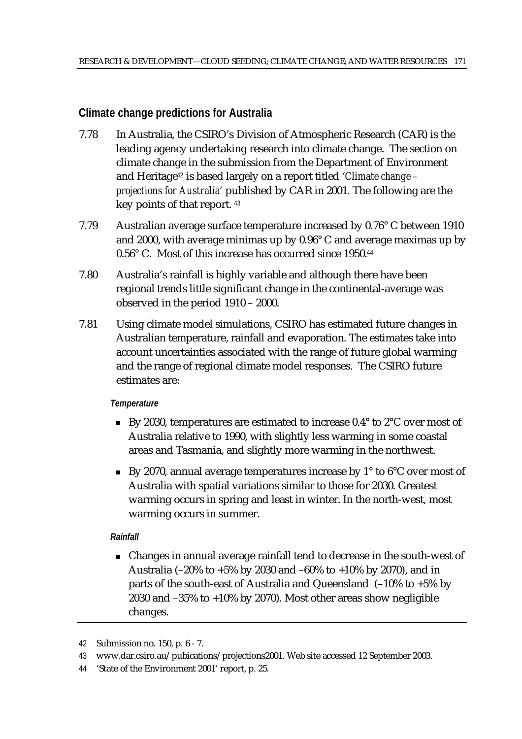## **Climate change predictions for Australia**

- 7.78 In Australia, the CSIRO's Division of Atmospheric Research (CAR) is the leading agency undertaking research into climate change. The section on climate change in the submission from the Department of Environment and Heritage<sup>42</sup> is based largely on a report titled '*Climate change – projections for Australia'* published by CAR in 2001. The following are the key points of that report. <sup>43</sup>
- 7.79 Australian average surface temperature increased by 0.76° C between 1910 and 2000, with average minimas up by 0.96° C and average maximas up by 0.56° C. Most of this increase has occurred since 1950.<sup>44</sup>
- 7.80 Australia's rainfall is highly variable and although there have been regional trends little significant change in the continental-average was observed in the period 1910 – 2000.
- 7.81 Using climate model simulations, CSIRO has estimated future changes in Australian temperature, rainfall and evaporation. The estimates take into account uncertainties associated with the range of future global warming and the range of regional climate model responses. The CSIRO future estimates are:

## *Temperature*

- By 2030, temperatures are estimated to increase  $0.4^{\circ}$  to  $2^{\circ}$ C over most of Australia relative to 1990, with slightly less warming in some coastal areas and Tasmania, and slightly more warming in the northwest.
- By 2070, annual average temperatures increase by  $1^{\circ}$  to  $6^{\circ}$ C over most of Australia with spatial variations similar to those for 2030. Greatest warming occurs in spring and least in winter. In the north-west, most warming occurs in summer.

## *Rainfall*

 Changes in annual average rainfall tend to decrease in the south-west of Australia (–20% to +5% by 2030 and –60% to +10% by 2070), and in parts of the south-east of Australia and Queensland (–10% to +5% by 2030 and –35% to +10% by 2070). Most other areas show negligible changes.

<sup>42</sup> Submission no. 150, p. 6 - 7.

<sup>43</sup> www.dar.csiro.au/pubications/projections2001. Web site accessed 12 September 2003.

<sup>44</sup> 'State of the Environment 2001' report, p. 25.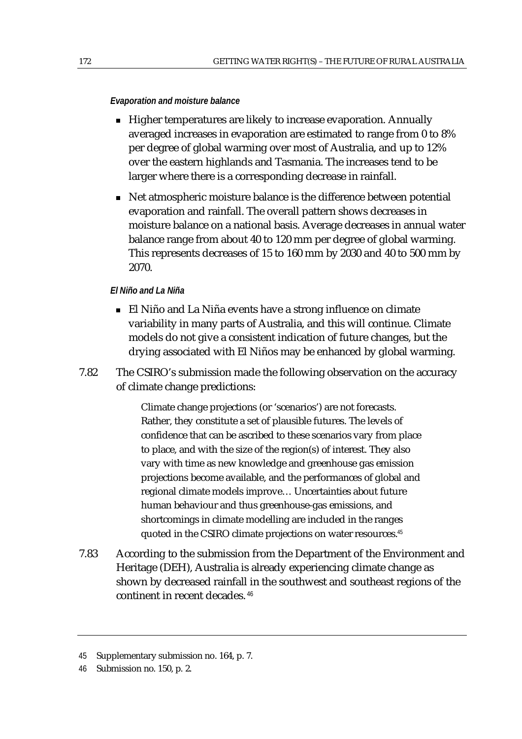#### *Evaporation and moisture balance*

- Higher temperatures are likely to increase evaporation. Annually averaged increases in evaporation are estimated to range from 0 to 8% per degree of global warming over most of Australia, and up to 12% over the eastern highlands and Tasmania. The increases tend to be larger where there is a corresponding decrease in rainfall.
- Net atmospheric moisture balance is the difference between potential evaporation and rainfall. The overall pattern shows decreases in moisture balance on a national basis. Average decreases in annual water balance range from about 40 to 120 mm per degree of global warming. This represents decreases of 15 to 160 mm by 2030 and 40 to 500 mm by 2070.

#### *El Niño and La Niña*

- El Niño and La Niña events have a strong influence on climate variability in many parts of Australia, and this will continue. Climate models do not give a consistent indication of future changes, but the drying associated with El Niños may be enhanced by global warming.
- 7.82 The CSIRO's submission made the following observation on the accuracy of climate change predictions:

Climate change projections (or 'scenarios') are not forecasts. Rather, they constitute a set of plausible futures. The levels of confidence that can be ascribed to these scenarios vary from place to place, and with the size of the region(s) of interest. They also vary with time as new knowledge and greenhouse gas emission projections become available, and the performances of global and regional climate models improve… Uncertainties about future human behaviour and thus greenhouse-gas emissions, and shortcomings in climate modelling are included in the ranges quoted in the CSIRO climate projections on water resources.<sup>45</sup>

7.83 According to the submission from the Department of the Environment and Heritage (DEH), Australia is already experiencing climate change as shown by decreased rainfall in the southwest and southeast regions of the continent in recent decades.<sup>46</sup>

<sup>45</sup> Supplementary submission no. 164, p. 7.

<sup>46</sup> Submission no. 150, p. 2.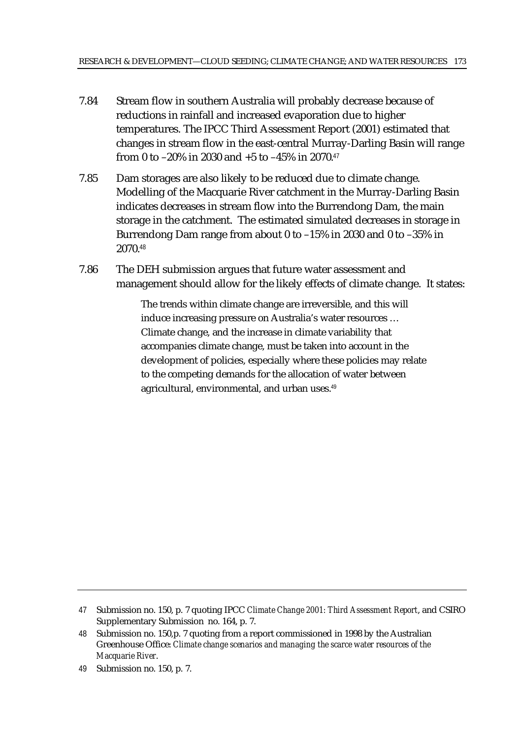- 7.84 Stream flow in southern Australia will probably decrease because of reductions in rainfall and increased evaporation due to higher temperatures. The IPCC Third Assessment Report (2001) estimated that changes in stream flow in the east-central Murray-Darling Basin will range from 0 to  $-20\%$  in 2030 and  $+5$  to  $-45\%$  in 2070.<sup>47</sup>
- 7.85 Dam storages are also likely to be reduced due to climate change. Modelling of the Macquarie River catchment in the Murray-Darling Basin indicates decreases in stream flow into the Burrendong Dam, the main storage in the catchment. The estimated simulated decreases in storage in Burrendong Dam range from about 0 to –15% in 2030 and 0 to –35% in 2070.<sup>48</sup>
- 7.86 The DEH submission argues that future water assessment and management should allow for the likely effects of climate change. It states:

The trends within climate change are irreversible, and this will induce increasing pressure on Australia's water resources … Climate change, and the increase in climate variability that accompanies climate change, must be taken into account in the development of policies, especially where these policies may relate to the competing demands for the allocation of water between agricultural, environmental, and urban uses.<sup>49</sup>

<sup>47</sup> Submission no. 150, p. 7 quoting IPCC *Climate Change 2001: Third Assessment Report*, and CSIRO Supplementary Submission no. 164, p. 7.

<sup>48</sup> Submission no. 150,p. 7 quoting from a report commissioned in 1998 by the Australian Greenhouse Office: *Climate change scenarios and managing the scarce water resources of the Macquarie River*.

<sup>49</sup> Submission no. 150, p. 7.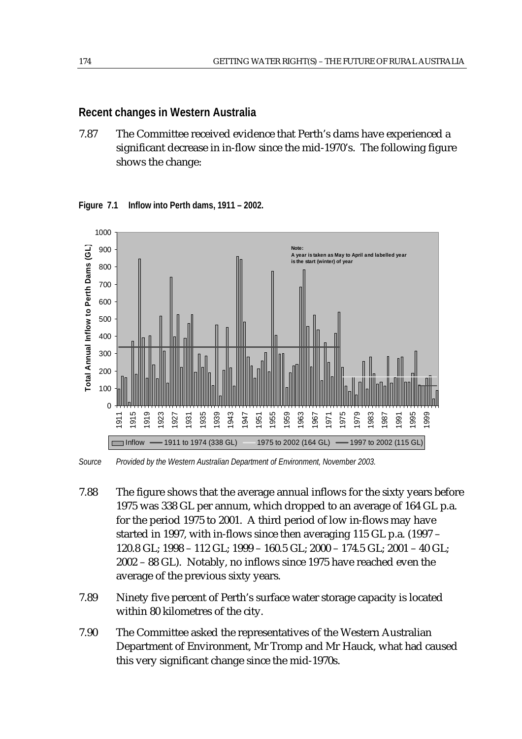## **Recent changes in Western Australia**

7.87 The Committee received evidence that Perth's dams have experienced a significant decrease in in-flow since the mid-1970's. The following figure shows the change:



**Figure 7.1 Inflow into Perth dams, 1911 – 2002.** 

*Source Provided by the Western Australian Department of Environment, November 2003.* 

- 7.88 The figure shows that the average annual inflows for the sixty years before 1975 was 338 GL per annum, which dropped to an average of 164 GL p.a. for the period 1975 to 2001. A third period of low in-flows may have started in 1997, with in-flows since then averaging 115 GL p.a. (1997 – 120.8 GL; 1998 – 112 GL; 1999 – 160.5 GL; 2000 – 174.5 GL; 2001 – 40 GL; 2002 – 88 GL). Notably, no inflows since 1975 have reached even the average of the previous sixty years.
- 7.89 Ninety five percent of Perth's surface water storage capacity is located within 80 kilometres of the city.
- 7.90 The Committee asked the representatives of the Western Australian Department of Environment, Mr Tromp and Mr Hauck, what had caused this very significant change since the mid-1970s.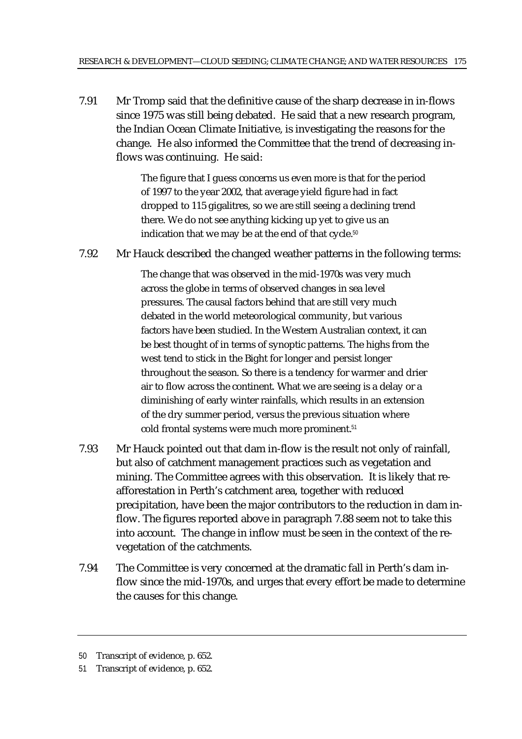7.91 Mr Tromp said that the definitive cause of the sharp decrease in in-flows since 1975 was still being debated. He said that a new research program, the Indian Ocean Climate Initiative, is investigating the reasons for the change. He also informed the Committee that the trend of decreasing inflows was continuing. He said:

> The figure that I guess concerns us even more is that for the period of 1997 to the year 2002, that average yield figure had in fact dropped to 115 gigalitres, so we are still seeing a declining trend there. We do not see anything kicking up yet to give us an indication that we may be at the end of that cycle.<sup>50</sup>

7.92 Mr Hauck described the changed weather patterns in the following terms:

The change that was observed in the mid-1970s was very much across the globe in terms of observed changes in sea level pressures. The causal factors behind that are still very much debated in the world meteorological community, but various factors have been studied. In the Western Australian context, it can be best thought of in terms of synoptic patterns. The highs from the west tend to stick in the Bight for longer and persist longer throughout the season. So there is a tendency for warmer and drier air to flow across the continent. What we are seeing is a delay or a diminishing of early winter rainfalls, which results in an extension of the dry summer period, versus the previous situation where cold frontal systems were much more prominent.<sup>51</sup>

- 7.93 Mr Hauck pointed out that dam in-flow is the result not only of rainfall, but also of catchment management practices such as vegetation and mining. The Committee agrees with this observation. It is likely that reafforestation in Perth's catchment area, together with reduced precipitation, have been the major contributors to the reduction in dam inflow. The figures reported above in paragraph 7.88 seem not to take this into account. The change in inflow must be seen in the context of the revegetation of the catchments.
- 7.94 The Committee is very concerned at the dramatic fall in Perth's dam inflow since the mid-1970s, and urges that every effort be made to determine the causes for this change.

<sup>50</sup> Transcript of evidence, p. 652.

<sup>51</sup> Transcript of evidence, p. 652.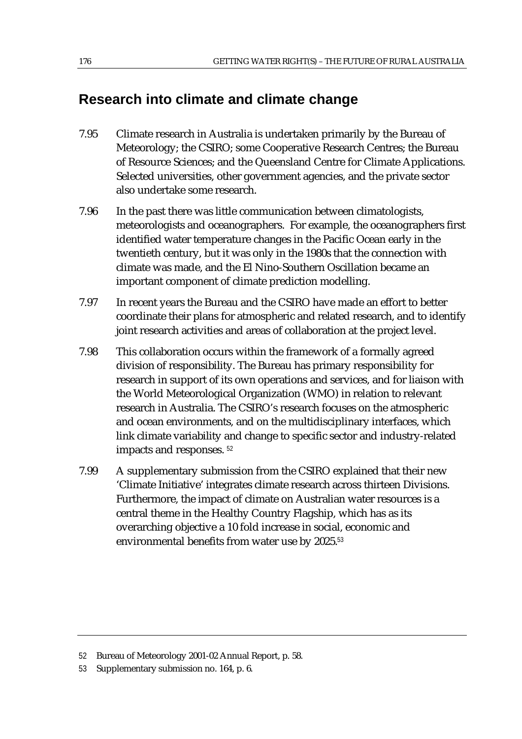# **Research into climate and climate change**

- 7.95 Climate research in Australia is undertaken primarily by the Bureau of Meteorology; the CSIRO; some Cooperative Research Centres; the Bureau of Resource Sciences; and the Queensland Centre for Climate Applications. Selected universities, other government agencies, and the private sector also undertake some research.
- 7.96 In the past there was little communication between climatologists, meteorologists and oceanographers. For example, the oceanographers first identified water temperature changes in the Pacific Ocean early in the twentieth century, but it was only in the 1980s that the connection with climate was made, and the El Nino-Southern Oscillation became an important component of climate prediction modelling.
- 7.97 In recent years the Bureau and the CSIRO have made an effort to better coordinate their plans for atmospheric and related research, and to identify joint research activities and areas of collaboration at the project level.
- 7.98 This collaboration occurs within the framework of a formally agreed division of responsibility. The Bureau has primary responsibility for research in support of its own operations and services, and for liaison with the World Meteorological Organization (WMO) in relation to relevant research in Australia. The CSIRO's research focuses on the atmospheric and ocean environments, and on the multidisciplinary interfaces, which link climate variability and change to specific sector and industry-related impacts and responses. <sup>52</sup>
- 7.99 A supplementary submission from the CSIRO explained that their new 'Climate Initiative' integrates climate research across thirteen Divisions. Furthermore, the impact of climate on Australian water resources is a central theme in the Healthy Country Flagship, which has as its overarching objective a 10 fold increase in social, economic and environmental benefits from water use by 2025.<sup>53</sup>

<sup>52</sup> Bureau of Meteorology 2001-02 Annual Report, p. 58.

<sup>53</sup> Supplementary submission no. 164, p. 6.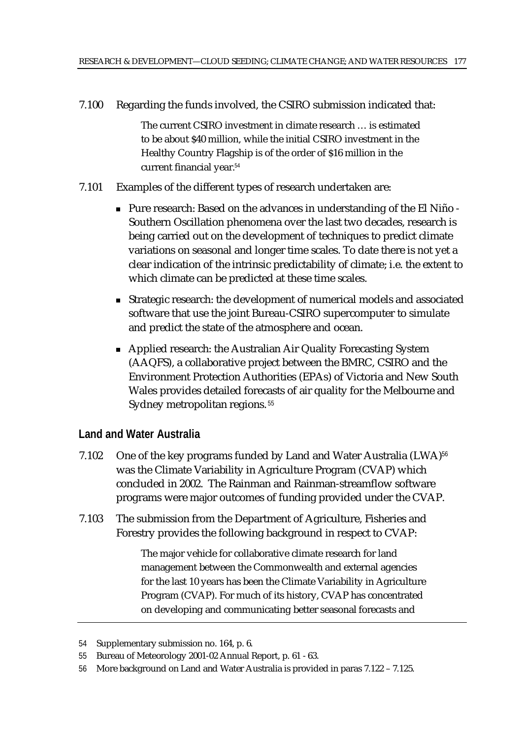7.100 Regarding the funds involved, the CSIRO submission indicated that:

The current CSIRO investment in climate research … is estimated to be about \$40 million, while the initial CSIRO investment in the Healthy Country Flagship is of the order of \$16 million in the current financial year.<sup>54</sup>

- 7.101 Examples of the different types of research undertaken are:
	- Pure research: Based on the advances in understanding of the El Niño Southern Oscillation phenomena over the last two decades, research is being carried out on the development of techniques to predict climate variations on seasonal and longer time scales. To date there is not yet a clear indication of the intrinsic predictability of climate; i.e. the extent to which climate can be predicted at these time scales.
	- Strategic research: the development of numerical models and associated software that use the joint Bureau-CSIRO supercomputer to simulate and predict the state of the atmosphere and ocean.
	- Applied research: the Australian Air Quality Forecasting System (AAQFS), a collaborative project between the BMRC, CSIRO and the Environment Protection Authorities (EPAs) of Victoria and New South Wales provides detailed forecasts of air quality for the Melbourne and Sydney metropolitan regions. 55

## **Land and Water Australia**

- 7.102 One of the key programs funded by Land and Water Australia (LWA)<sup>56</sup> was the Climate Variability in Agriculture Program (CVAP) which concluded in 2002. The Rainman and Rainman-streamflow software programs were major outcomes of funding provided under the CVAP.
- 7.103 The submission from the Department of Agriculture, Fisheries and Forestry provides the following background in respect to CVAP:

The major vehicle for collaborative climate research for land management between the Commonwealth and external agencies for the last 10 years has been the Climate Variability in Agriculture Program (CVAP). For much of its history, CVAP has concentrated on developing and communicating better seasonal forecasts and

56 More background on Land and Water Australia is provided in paras 7.122 – 7.125.

<sup>54</sup> Supplementary submission no. 164, p. 6.

<sup>55</sup> Bureau of Meteorology 2001-02 Annual Report, p. 61 - 63.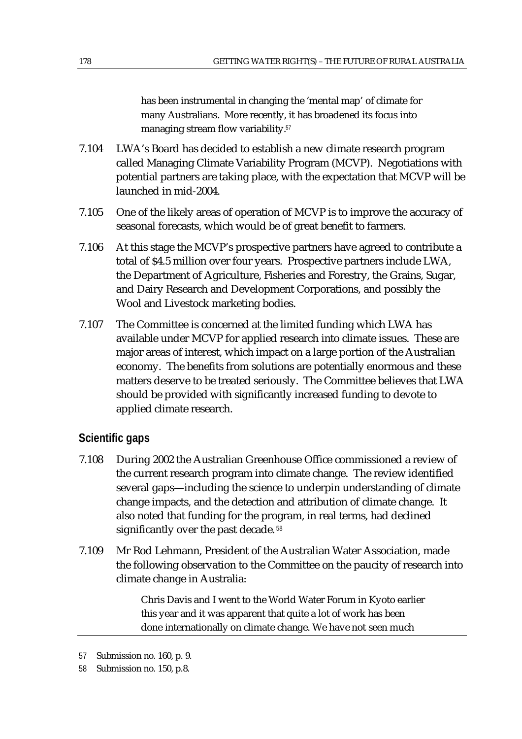has been instrumental in changing the 'mental map' of climate for many Australians. More recently, it has broadened its focus into managing stream flow variability.<sup>57</sup>

- 7.104 LWA's Board has decided to establish a new climate research program called Managing Climate Variability Program (MCVP). Negotiations with potential partners are taking place, with the expectation that MCVP will be launched in mid-2004.
- 7.105 One of the likely areas of operation of MCVP is to improve the accuracy of seasonal forecasts, which would be of great benefit to farmers.
- 7.106 At this stage the MCVP's prospective partners have agreed to contribute a total of \$4.5 million over four years. Prospective partners include LWA, the Department of Agriculture, Fisheries and Forestry, the Grains, Sugar, and Dairy Research and Development Corporations, and possibly the Wool and Livestock marketing bodies.
- 7.107 The Committee is concerned at the limited funding which LWA has available under MCVP for applied research into climate issues. These are major areas of interest, which impact on a large portion of the Australian economy. The benefits from solutions are potentially enormous and these matters deserve to be treated seriously. The Committee believes that LWA should be provided with significantly increased funding to devote to applied climate research.

## **Scientific gaps**

- 7.108 During 2002 the Australian Greenhouse Office commissioned a review of the current research program into climate change. The review identified several gaps—including the science to underpin understanding of climate change impacts, and the detection and attribution of climate change. It also noted that funding for the program, in real terms, had declined significantly over the past decade.<sup>58</sup>
- 7.109 Mr Rod Lehmann, President of the Australian Water Association, made the following observation to the Committee on the paucity of research into climate change in Australia:

Chris Davis and I went to the World Water Forum in Kyoto earlier this year and it was apparent that quite a lot of work has been done internationally on climate change. We have not seen much

<sup>57</sup> Submission no. 160, p. 9.

<sup>58</sup> Submission no. 150, p.8.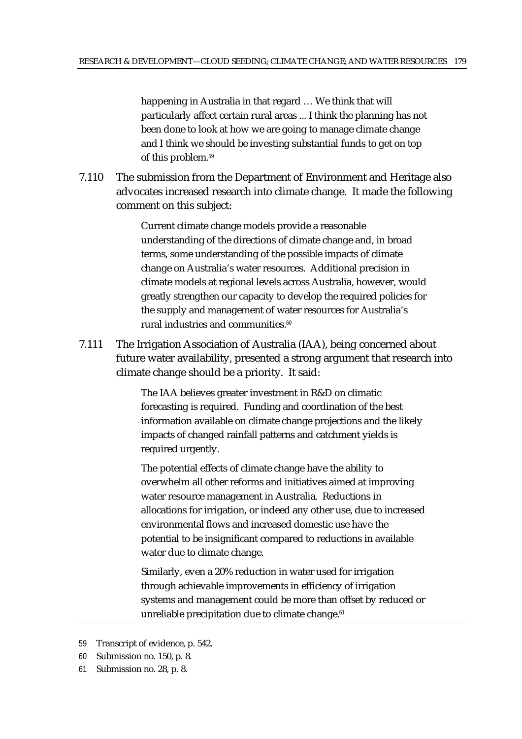happening in Australia in that regard … We think that will particularly affect certain rural areas ... I think the planning has not been done to look at how we are going to manage climate change and I think we should be investing substantial funds to get on top of this problem.<sup>59</sup>

7.110 The submission from the Department of Environment and Heritage also advocates increased research into climate change. It made the following comment on this subject:

> Current climate change models provide a reasonable understanding of the directions of climate change and, in broad terms, some understanding of the possible impacts of climate change on Australia's water resources. Additional precision in climate models at regional levels across Australia, however, would greatly strengthen our capacity to develop the required policies for the supply and management of water resources for Australia's rural industries and communities.<sup>60</sup>

7.111 The Irrigation Association of Australia (IAA), being concerned about future water availability, presented a strong argument that research into climate change should be a priority. It said:

> The IAA believes greater investment in R&D on climatic forecasting is required. Funding and coordination of the best information available on climate change projections and the likely impacts of changed rainfall patterns and catchment yields is required urgently.

> The potential effects of climate change have the ability to overwhelm all other reforms and initiatives aimed at improving water resource management in Australia. Reductions in allocations for irrigation, or indeed any other use, due to increased environmental flows and increased domestic use have the potential to be insignificant compared to reductions in available water due to climate change.

> Similarly, even a 20% reduction in water used for irrigation through achievable improvements in efficiency of irrigation systems and management could be more than offset by reduced or unreliable precipitation due to climate change.<sup>61</sup>

61 Submission no. 28, p. 8.

<sup>59</sup> Transcript of evidence, p. 542.

<sup>60</sup> Submission no. 150, p. 8.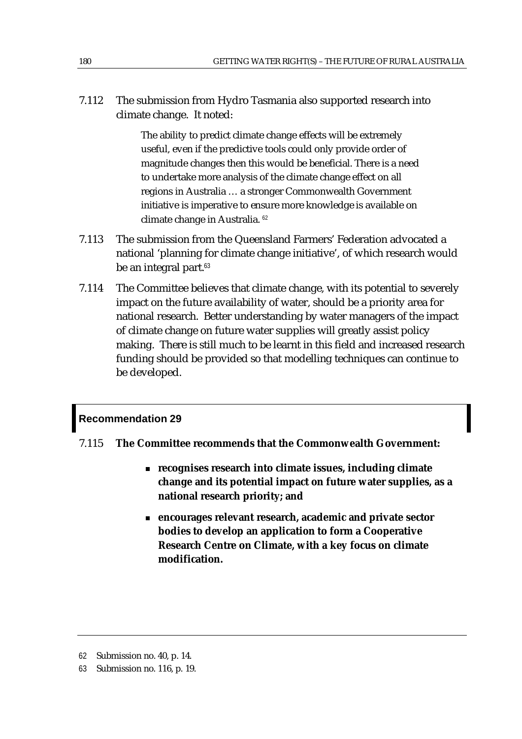7.112 The submission from Hydro Tasmania also supported research into climate change. It noted:

> The ability to predict climate change effects will be extremely useful, even if the predictive tools could only provide order of magnitude changes then this would be beneficial. There is a need to undertake more analysis of the climate change effect on all regions in Australia … a stronger Commonwealth Government initiative is imperative to ensure more knowledge is available on climate change in Australia. <sup>62</sup>

- 7.113 The submission from the Queensland Farmers' Federation advocated a national 'planning for climate change initiative', of which research would be an integral part.<sup>63</sup>
- 7.114 The Committee believes that climate change, with its potential to severely impact on the future availability of water, should be a priority area for national research. Better understanding by water managers of the impact of climate change on future water supplies will greatly assist policy making. There is still much to be learnt in this field and increased research funding should be provided so that modelling techniques can continue to be developed.

## **Recommendation 29**

- 7.115 **The Committee recommends that the Commonwealth Government:** 
	- **recognises research into climate issues, including climate change and its potential impact on future water supplies, as a national research priority; and**
	- **encourages relevant research, academic and private sector bodies to develop an application to form a Cooperative Research Centre on Climate, with a key focus on climate modification.**

<sup>62</sup> Submission no. 40, p. 14.

<sup>63</sup> Submission no. 116, p. 19.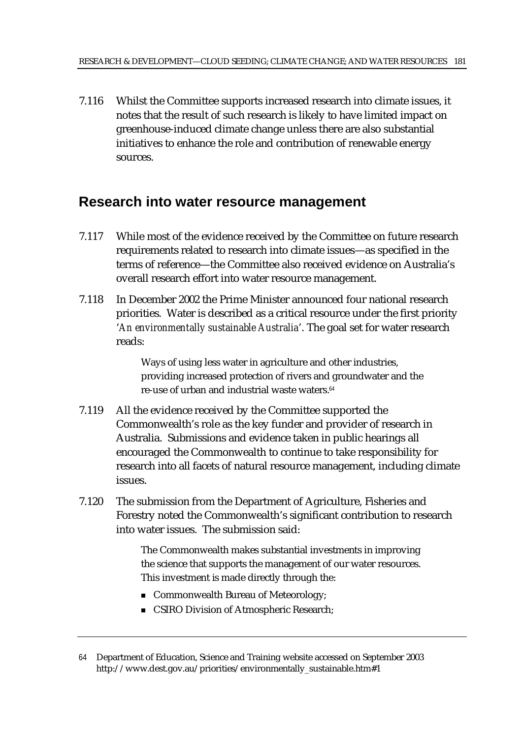7.116 Whilst the Committee supports increased research into climate issues, it notes that the result of such research is likely to have limited impact on greenhouse-induced climate change unless there are also substantial initiatives to enhance the role and contribution of renewable energy sources.

# **Research into water resource management**

- 7.117 While most of the evidence received by the Committee on future research requirements related to research into climate issues—as specified in the terms of reference—the Committee also received evidence on Australia's overall research effort into water resource management.
- 7.118 In December 2002 the Prime Minister announced four national research priorities. Water is described as a critical resource under the first priority '*An environmentally sustainable Australia*'. The goal set for water research reads:

Ways of using less water in agriculture and other industries, providing increased protection of rivers and groundwater and the re-use of urban and industrial waste waters.<sup>64</sup>

- 7.119 All the evidence received by the Committee supported the Commonwealth's role as the key funder and provider of research in Australia. Submissions and evidence taken in public hearings all encouraged the Commonwealth to continue to take responsibility for research into all facets of natural resource management, including climate issues.
- 7.120 The submission from the Department of Agriculture, Fisheries and Forestry noted the Commonwealth's significant contribution to research into water issues. The submission said:

The Commonwealth makes substantial investments in improving the science that supports the management of our water resources. This investment is made directly through the:

- Commonwealth Bureau of Meteorology;
- **CSIRO Division of Atmospheric Research;**

<sup>64</sup> Department of Education, Science and Training website accessed on September 2003 http://www.dest.gov.au/priorities/environmentally\_sustainable.htm#1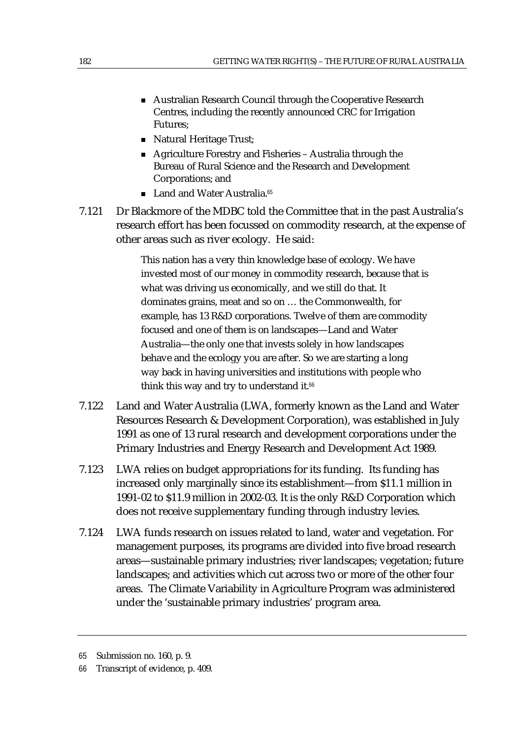- Australian Research Council through the Cooperative Research Centres, including the recently announced CRC for Irrigation Futures;
- Natural Heritage Trust;
- Agriculture Forestry and Fisheries Australia through the Bureau of Rural Science and the Research and Development Corporations; and
- Land and Water Australia.<sup>65</sup>
- 7.121 Dr Blackmore of the MDBC told the Committee that in the past Australia's research effort has been focussed on commodity research, at the expense of other areas such as river ecology. He said:

This nation has a very thin knowledge base of ecology. We have invested most of our money in commodity research, because that is what was driving us economically, and we still do that. It dominates grains, meat and so on … the Commonwealth, for example, has 13 R&D corporations. Twelve of them are commodity focused and one of them is on landscapes—Land and Water Australia—the only one that invests solely in how landscapes behave and the ecology you are after. So we are starting a long way back in having universities and institutions with people who think this way and try to understand it.<sup>66</sup>

- 7.122 Land and Water Australia (LWA, formerly known as the Land and Water Resources Research & Development Corporation), was established in July 1991 as one of 13 rural research and development corporations under the Primary Industries and Energy Research and Development Act 1989.
- 7.123 LWA relies on budget appropriations for its funding. Its funding has increased only marginally since its establishment—from \$11.1 million in 1991-02 to \$11.9 million in 2002-03. It is the only R&D Corporation which does not receive supplementary funding through industry levies.
- 7.124 LWA funds research on issues related to land, water and vegetation. For management purposes, its programs are divided into five broad research areas—sustainable primary industries; river landscapes; vegetation; future landscapes; and activities which cut across two or more of the other four areas. The Climate Variability in Agriculture Program was administered under the 'sustainable primary industries' program area.

<sup>65</sup> Submission no. 160, p. 9.

<sup>66</sup> Transcript of evidence, p. 409.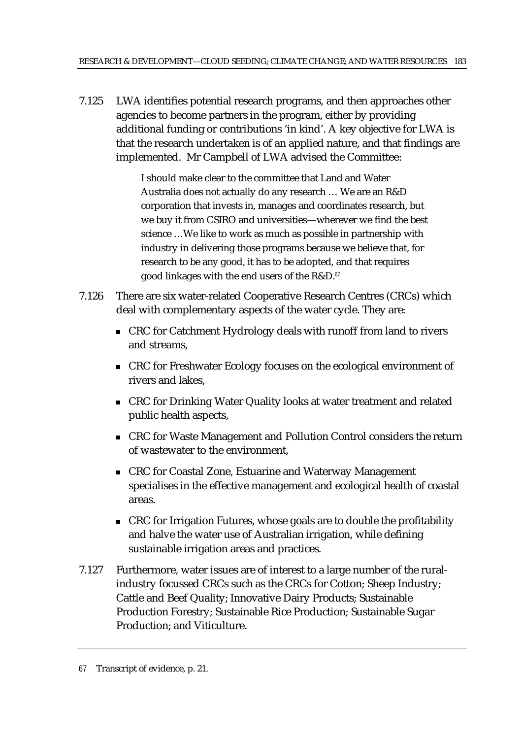7.125 LWA identifies potential research programs, and then approaches other agencies to become partners in the program, either by providing additional funding or contributions 'in kind'. A key objective for LWA is that the research undertaken is of an applied nature, and that findings are implemented. Mr Campbell of LWA advised the Committee:

> I should make clear to the committee that Land and Water Australia does not actually do any research … We are an R&D corporation that invests in, manages and coordinates research, but we buy it from CSIRO and universities—wherever we find the best science …We like to work as much as possible in partnership with industry in delivering those programs because we believe that, for research to be any good, it has to be adopted, and that requires good linkages with the end users of the R&D.<sup>67</sup>

- 7.126 There are six water-related Cooperative Research Centres (CRCs) which deal with complementary aspects of the water cycle. They are:
	- CRC for Catchment Hydrology deals with runoff from land to rivers and streams,
	- CRC for Freshwater Ecology focuses on the ecological environment of rivers and lakes,
	- CRC for Drinking Water Quality looks at water treatment and related public health aspects,
	- CRC for Waste Management and Pollution Control considers the return of wastewater to the environment,
	- CRC for Coastal Zone, Estuarine and Waterway Management specialises in the effective management and ecological health of coastal areas.
	- CRC for Irrigation Futures, whose goals are to double the profitability and halve the water use of Australian irrigation, while defining sustainable irrigation areas and practices.
- 7.127 Furthermore, water issues are of interest to a large number of the ruralindustry focussed CRCs such as the CRCs for Cotton; Sheep Industry; Cattle and Beef Quality; Innovative Dairy Products; Sustainable Production Forestry; Sustainable Rice Production; Sustainable Sugar Production; and Viticulture.

<sup>67</sup> Transcript of evidence, p. 21.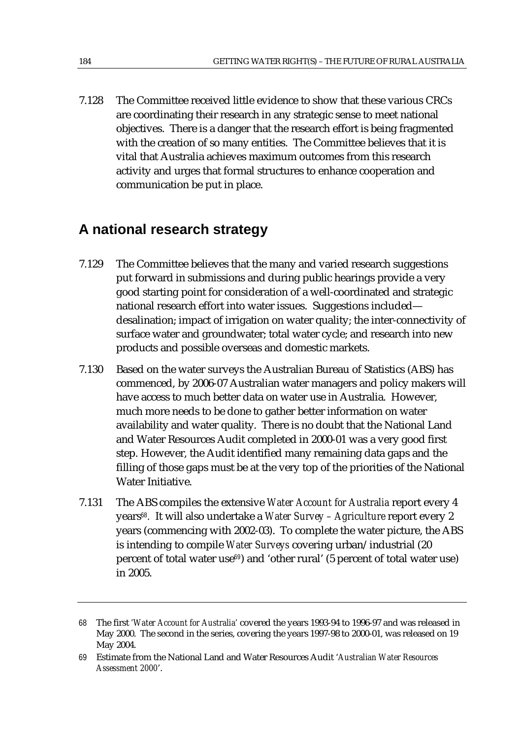7.128 The Committee received little evidence to show that these various CRCs are coordinating their research in any strategic sense to meet national objectives. There is a danger that the research effort is being fragmented with the creation of so many entities. The Committee believes that it is vital that Australia achieves maximum outcomes from this research activity and urges that formal structures to enhance cooperation and communication be put in place.

# **A national research strategy**

- 7.129 The Committee believes that the many and varied research suggestions put forward in submissions and during public hearings provide a very good starting point for consideration of a well-coordinated and strategic national research effort into water issues. Suggestions included desalination; impact of irrigation on water quality; the inter-connectivity of surface water and groundwater; total water cycle; and research into new products and possible overseas and domestic markets.
- 7.130 Based on the water surveys the Australian Bureau of Statistics (ABS) has commenced, by 2006-07 Australian water managers and policy makers will have access to much better data on water use in Australia. However, much more needs to be done to gather better information on water availability and water quality. There is no doubt that the National Land and Water Resources Audit completed in 2000-01 was a very good first step. However, the Audit identified many remaining data gaps and the filling of those gaps must be at the very top of the priorities of the National Water Initiative.
- 7.131 The ABS compiles the extensive *Water Account for Australia* report every 4 years<sup>68</sup>*.* It will also undertake a *Water Survey – Agriculture* report every 2 years (commencing with 2002-03). To complete the water picture, the ABS is intending to compile *Water Surveys* covering urban/industrial (20 percent of total water use $69$ ) and 'other rural' (5 percent of total water use) in 2005.

<sup>68</sup> The first *'Water Account for Australia'* covered the years 1993-94 to 1996-97 and was released in May 2000. The second in the series, covering the years 1997-98 to 2000-01, was released on 19 May 2004.

<sup>69</sup> Estimate from the National Land and Water Resources Audit '*Australian Water Resources Assessment 2000*'.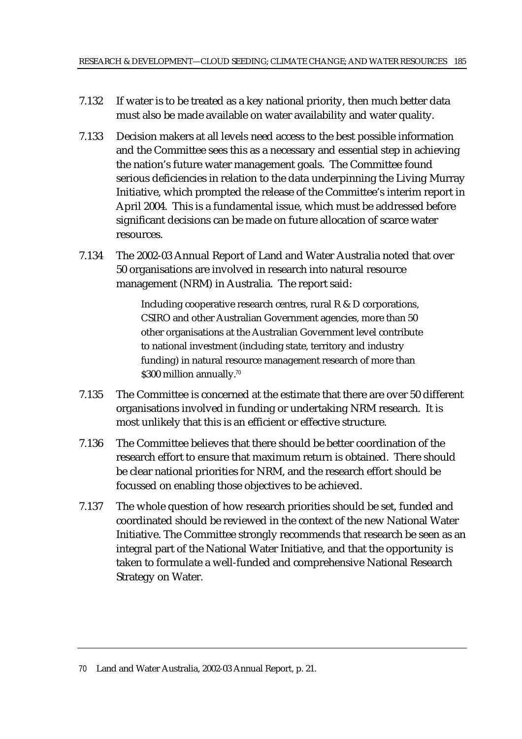- 7.132 If water is to be treated as a key national priority, then much better data must also be made available on water availability and water quality.
- 7.133 Decision makers at all levels need access to the best possible information and the Committee sees this as a necessary and essential step in achieving the nation's future water management goals. The Committee found serious deficiencies in relation to the data underpinning the Living Murray Initiative, which prompted the release of the Committee's interim report in April 2004. This is a fundamental issue, which must be addressed before significant decisions can be made on future allocation of scarce water resources.
- 7.134 The 2002-03 Annual Report of Land and Water Australia noted that over 50 organisations are involved in research into natural resource management (NRM) in Australia. The report said:

Including cooperative research centres, rural R & D corporations, CSIRO and other Australian Government agencies, more than 50 other organisations at the Australian Government level contribute to national investment (including state, territory and industry funding) in natural resource management research of more than \$300 million annually.<sup>70</sup>

- 7.135 The Committee is concerned at the estimate that there are over 50 different organisations involved in funding or undertaking NRM research. It is most unlikely that this is an efficient or effective structure.
- 7.136 The Committee believes that there should be better coordination of the research effort to ensure that maximum return is obtained. There should be clear national priorities for NRM, and the research effort should be focussed on enabling those objectives to be achieved.
- 7.137 The whole question of how research priorities should be set, funded and coordinated should be reviewed in the context of the new National Water Initiative. The Committee strongly recommends that research be seen as an integral part of the National Water Initiative, and that the opportunity is taken to formulate a well-funded and comprehensive National Research Strategy on Water.

<sup>70</sup> Land and Water Australia, 2002-03 Annual Report, p. 21.